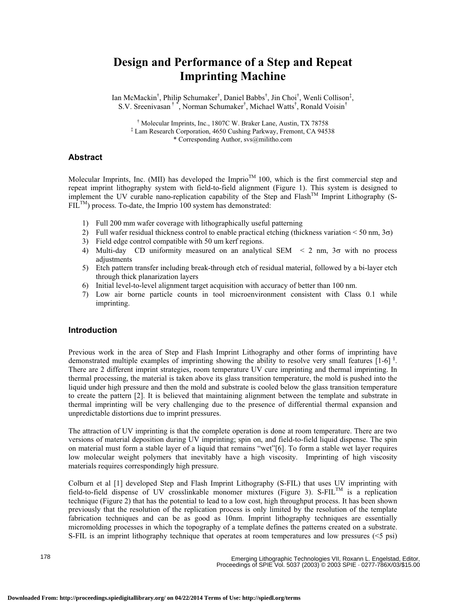# **Design and Performance of a Step and Repeat Imprinting Machine**

Ian McMackin<sup>†</sup>, Philip Schumaker<sup>†</sup>, Daniel Babbs<sup>†</sup>, Jin Choi<sup>†</sup>, Wenli Collison<sup>‡</sup>, S.V. Sreenivasan<sup>†</sup>, Norman Schumaker<sup>†</sup>, Michael Watts<sup>†</sup>, Ronald Voisin<sup>†</sup>

† Molecular Imprints, Inc., 1807C W. Braker Lane, Austin, TX 78758 ‡ Lam Research Corporation, 4650 Cushing Parkway, Fremont, CA 94538 \* Corresponding Author, svs@militho.com

#### **Abstract**

Molecular Imprints, Inc. (MII) has developed the Imprio<sup>TM</sup> 100, which is the first commercial step and repeat imprint lithography system with field-to-field alignment (Figure 1). This system is designed to implement the UV curable nano-replication capability of the Step and  $Flash^{TM}$  Imprint Lithography (S- $FIL^{TM}$ ) process. To-date, the Imprio 100 system has demonstrated:

- 1) Full 200 mm wafer coverage with lithographically useful patterning
- 2) Full wafer residual thickness control to enable practical etching (thickness variation  $\leq 50$  nm,  $3\sigma$ )
- 3) Field edge control compatible with 50 um kerf regions.
- 4) Multi-day CD uniformity measured on an analytical SEM  $\leq$  2 nm,  $3\sigma$  with no process adjustments
- 5) Etch pattern transfer including break-through etch of residual material, followed by a bi-layer etch through thick planarization layers
- 6) Initial level-to-level alignment target acquisition with accuracy of better than 100 nm.
- 7) Low air borne particle counts in tool microenvironment consistent with Class 0.1 while imprinting.

#### **Introduction**

Previous work in the area of Step and Flash Imprint Lithography and other forms of imprinting have demonstrated multiple examples of imprinting showing the ability to resolve very small features [1-6]<sup>§</sup>. There are 2 different imprint strategies, room temperature UV cure imprinting and thermal imprinting. In thermal processing, the material is taken above its glass transition temperature, the mold is pushed into the liquid under high pressure and then the mold and substrate is cooled below the glass transition temperature to create the pattern [2]. It is believed that maintaining alignment between the template and substrate in thermal imprinting will be very challenging due to the presence of differential thermal expansion and unpredictable distortions due to imprint pressures.

The attraction of UV imprinting is that the complete operation is done at room temperature. There are two versions of material deposition during UV imprinting; spin on, and field-to-field liquid dispense. The spin on material must form a stable layer of a liquid that remains "wet"[6]. To form a stable wet layer requires low molecular weight polymers that inevitably have a high viscosity. Imprinting of high viscosity materials requires correspondingly high pressure.

Colburn et al [1] developed Step and Flash Imprint Lithography (S-FIL) that uses UV imprinting with field-to-field dispense of UV crosslinkable monomer mixtures (Figure 3). S-FIL<sup>TM</sup> is a replication technique (Figure 2) that has the potential to lead to a low cost, high throughput process. It has been shown previously that the resolution of the replication process is only limited by the resolution of the template fabrication techniques and can be as good as 10nm. Imprint lithography techniques are essentially micromolding processes in which the topography of a template defines the patterns created on a substrate. S-FIL is an imprint lithography technique that operates at room temperatures and low pressures (<5 psi)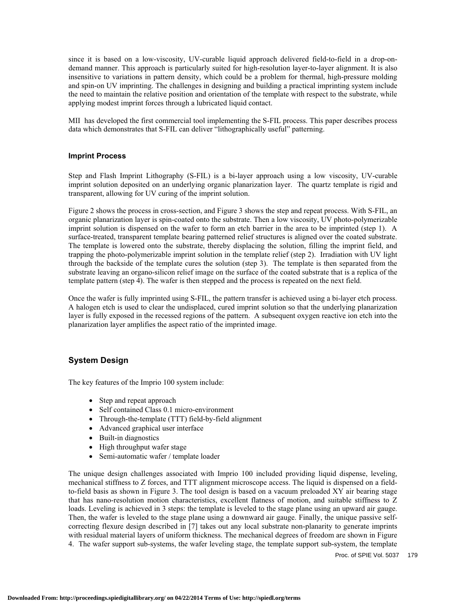since it is based on a low-viscosity, UV-curable liquid approach delivered field-to-field in a drop-ondemand manner. This approach is particularly suited for high-resolution layer-to-layer alignment. It is also insensitive to variations in pattern density, which could be a problem for thermal, high-pressure molding and spin-on UV imprinting. The challenges in designing and building a practical imprinting system include the need to maintain the relative position and orientation of the template with respect to the substrate, while applying modest imprint forces through a lubricated liquid contact.

MII has developed the first commercial tool implementing the S-FIL process. This paper describes process data which demonstrates that S-FIL can deliver "lithographically useful" patterning.

#### **Imprint Process**

Step and Flash Imprint Lithography (S-FIL) is a bi-layer approach using a low viscosity, UV-curable imprint solution deposited on an underlying organic planarization layer. The quartz template is rigid and transparent, allowing for UV curing of the imprint solution.

Figure 2 shows the process in cross-section, and Figure 3 shows the step and repeat process. With S-FIL, an organic planarization layer is spin-coated onto the substrate. Then a low viscosity, UV photo-polymerizable imprint solution is dispensed on the wafer to form an etch barrier in the area to be imprinted (step 1). A surface-treated, transparent template bearing patterned relief structures is aligned over the coated substrate. The template is lowered onto the substrate, thereby displacing the solution, filling the imprint field, and trapping the photo-polymerizable imprint solution in the template relief (step 2). Irradiation with UV light through the backside of the template cures the solution (step 3). The template is then separated from the substrate leaving an organo-silicon relief image on the surface of the coated substrate that is a replica of the template pattern (step 4). The wafer is then stepped and the process is repeated on the next field.

Once the wafer is fully imprinted using S-FIL, the pattern transfer is achieved using a bi-layer etch process. A halogen etch is used to clear the undisplaced, cured imprint solution so that the underlying planarization layer is fully exposed in the recessed regions of the pattern. A subsequent oxygen reactive ion etch into the planarization layer amplifies the aspect ratio of the imprinted image.

# **System Design**

The key features of the Imprio 100 system include:

- Step and repeat approach
- Self contained Class 0.1 micro-environment
- Through-the-template (TTT) field-by-field alignment
- Advanced graphical user interface
- $\bullet$  Built-in diagnostics
- High throughput wafer stage
- Semi-automatic wafer / template loader

The unique design challenges associated with Imprio 100 included providing liquid dispense, leveling, mechanical stiffness to Z forces, and TTT alignment microscope access. The liquid is dispensed on a fieldto-field basis as shown in Figure 3. The tool design is based on a vacuum preloaded XY air bearing stage that has nano-resolution motion characteristics, excellent flatness of motion, and suitable stiffness to Z loads. Leveling is achieved in 3 steps: the template is leveled to the stage plane using an upward air gauge. Then, the wafer is leveled to the stage plane using a downward air gauge. Finally, the unique passive selfcorrecting flexure design described in [7] takes out any local substrate non-planarity to generate imprints with residual material layers of uniform thickness. The mechanical degrees of freedom are shown in Figure 4. The wafer support sub-systems, the wafer leveling stage, the template support sub-system, the template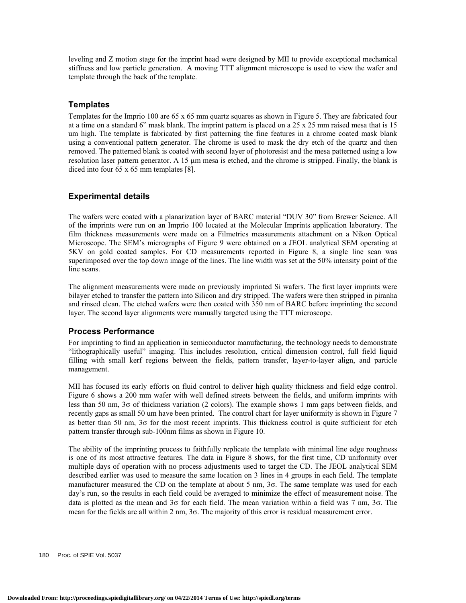leveling and Z motion stage for the imprint head were designed by MII to provide exceptional mechanical stiffness and low particle generation. A moving TTT alignment microscope is used to view the wafer and template through the back of the template.

#### **Templates**

Templates for the Imprio 100 are 65 x 65 mm quartz squares as shown in Figure 5. They are fabricated four at a time on a standard 6" mask blank. The imprint pattern is placed on a 25 x 25 mm raised mesa that is 15 um high. The template is fabricated by first patterning the fine features in a chrome coated mask blank using a conventional pattern generator. The chrome is used to mask the dry etch of the quartz and then removed. The patterned blank is coated with second layer of photoresist and the mesa patterned using a low resolution laser pattern generator. A 15 µm mesa is etched, and the chrome is stripped. Finally, the blank is diced into four 65 x 65 mm templates [8].

### **Experimental details**

The wafers were coated with a planarization layer of BARC material "DUV 30" from Brewer Science. All of the imprints were run on an Imprio 100 located at the Molecular Imprints application laboratory. The film thickness measurements were made on a Filmetrics measurements attachment on a Nikon Optical Microscope. The SEM's micrographs of Figure 9 were obtained on a JEOL analytical SEM operating at 5KV on gold coated samples. For CD measurements reported in Figure 8, a single line scan was superimposed over the top down image of the lines. The line width was set at the 50% intensity point of the line scans.

The alignment measurements were made on previously imprinted Si wafers. The first layer imprints were bilayer etched to transfer the pattern into Silicon and dry stripped. The wafers were then stripped in piranha and rinsed clean. The etched wafers were then coated with 350 nm of BARC before imprinting the second layer. The second layer alignments were manually targeted using the TTT microscope.

#### **Process Performance**

For imprinting to find an application in semiconductor manufacturing, the technology needs to demonstrate "lithographically useful" imaging. This includes resolution, critical dimension control, full field liquid filling with small kerf regions between the fields, pattern transfer, layer-to-layer align, and particle management.

MII has focused its early efforts on fluid control to deliver high quality thickness and field edge control. Figure 6 shows a 200 mm wafer with well defined streets between the fields, and uniform imprints with less than 50 nm,  $3\sigma$  of thickness variation (2 colors). The example shows 1 mm gaps between fields, and recently gaps as small 50 um have been printed. The control chart for layer uniformity is shown in Figure 7 as better than 50 nm,  $3\sigma$  for the most recent imprints. This thickness control is quite sufficient for etch pattern transfer through sub-100nm films as shown in Figure 10.

The ability of the imprinting process to faithfully replicate the template with minimal line edge roughness is one of its most attractive features. The data in Figure 8 shows, for the first time, CD uniformity over multiple days of operation with no process adjustments used to target the CD. The JEOL analytical SEM described earlier was used to measure the same location on 3 lines in 4 groups in each field. The template manufacturer measured the CD on the template at about 5 nm,  $3\sigma$ . The same template was used for each day's run, so the results in each field could be averaged to minimize the effect of measurement noise. The data is plotted as the mean and  $3\sigma$  for each field. The mean variation within a field was 7 nm,  $3\sigma$ . The mean for the fields are all within  $2 \text{ nm}$ ,  $3\sigma$ . The majority of this error is residual measurement error.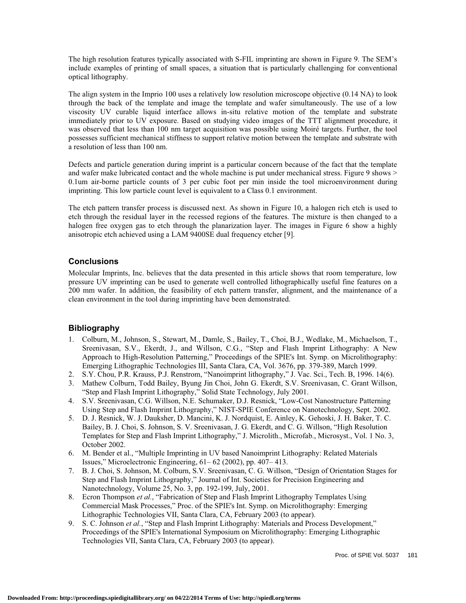The high resolution features typically associated with S-FIL imprinting are shown in Figure 9. The SEM's include examples of printing of small spaces, a situation that is particularly challenging for conventional optical lithography.

The align system in the Imprio 100 uses a relatively low resolution microscope objective (0.14 NA) to look through the back of the template and image the template and wafer simultaneously. The use of a low viscosity UV curable liquid interface allows in-situ relative motion of the template and substrate immediately prior to UV exposure. Based on studying video images of the TTT alignment procedure, it was observed that less than 100 nm target acquisition was possible using Moiré targets. Further, the tool possesses sufficient mechanical stiffness to support relative motion between the template and substrate with a resolution of less than 100 nm.

Defects and particle generation during imprint is a particular concern because of the fact that the template and wafer make lubricated contact and the whole machine is put under mechanical stress. Figure 9 shows > 0.1um air-borne particle counts of 3 per cubic foot per min inside the tool microenvironment during imprinting. This low particle count level is equivalent to a Class 0.1 environment.

The etch pattern transfer process is discussed next. As shown in Figure 10, a halogen rich etch is used to etch through the residual layer in the recessed regions of the features. The mixture is then changed to a halogen free oxygen gas to etch through the planarization layer. The images in Figure 6 show a highly anisotropic etch achieved using a LAM 9400SE dual frequency etcher [9].

### **Conclusions**

Molecular Imprints, Inc. believes that the data presented in this article shows that room temperature, low pressure UV imprinting can be used to generate well controlled lithographically useful fine features on a 200 mm wafer. In addition, the feasibility of etch pattern transfer, alignment, and the maintenance of a clean environment in the tool during imprinting have been demonstrated.

## **Bibliography**

- 1. Colburn, M., Johnson, S., Stewart, M., Damle, S., Bailey, T., Choi, B.J., Wedlake, M., Michaelson, T., Sreenivasan, S.V., Ekerdt, J., and Willson, C.G., "Step and Flash Imprint Lithography: A New Approach to High-Resolution Patterning," Proceedings of the SPIE's Int. Symp. on Microlithography: Emerging Lithographic Technologies III, Santa Clara, CA, Vol. 3676, pp. 379-389, March 1999.
- 2. S.Y. Chou, P.R. Krauss, P.J. Renstrom, "Nanoimprint lithography," J. Vac. Sci., Tech. B, 1996. 14(6).
- 3. Mathew Colburn, Todd Bailey, Byung Jin Choi, John G. Ekerdt, S.V. Sreenivasan, C. Grant Willson, "Step and Flash Imprint Lithography," Solid State Technology, July 2001.
- 4. S.V. Sreenivasan, C.G. Willson, N.E. Schumaker, D.J. Resnick, "Low-Cost Nanostructure Patterning Using Step and Flash Imprint Lithography," NIST-SPIE Conference on Nanotechnology, Sept. 2002.
- 5. D. J. Resnick, W. J. Dauksher, D. Mancini, K. J. Nordquist, E. Ainley, K. Gehoski, J. H. Baker, T. C. Bailey, B. J. Choi, S. Johnson, S. V. Sreenivasan, J. G. Ekerdt, and C. G. Willson, "High Resolution Templates for Step and Flash Imprint Lithography," J. Microlith., Microfab., Microsyst., Vol. 1 No. 3, October 2002.
- 6. M. Bender et al., "Multiple Imprinting in UV based Nanoimprint Lithography: Related Materials Issues," Microelectronic Engineering, 61– 62 (2002), pp. 407– 413.
- 7. B. J. Choi, S. Johnson, M. Colburn, S.V. Sreenivasan, C. G. Willson, "Design of Orientation Stages for Step and Flash Imprint Lithography," Journal of Int. Societies for Precision Engineering and Nanotechnology, Volume 25, No. 3, pp. 192-199, July, 2001.
- 8. Ecron Thompson *et al.*, "Fabrication of Step and Flash Imprint Lithography Templates Using Commercial Mask Processes," Proc. of the SPIE's Int. Symp. on Microlithography: Emerging Lithographic Technologies VII, Santa Clara, CA, February 2003 (to appear).
- 9. S. C. Johnson *et al.*, "Step and Flash Imprint Lithography: Materials and Process Development," Proceedings of the SPIE's International Symposium on Microlithography: Emerging Lithographic Technologies VII, Santa Clara, CA, February 2003 (to appear).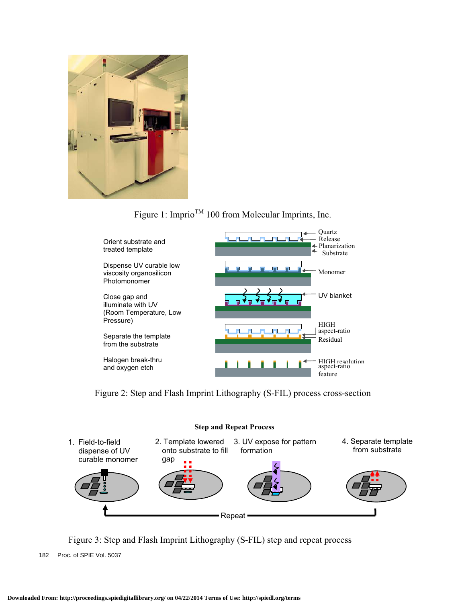

# Figure 1: Imprio<sup>TM</sup> 100 from Molecular Imprints, Inc.



Figure 2: Step and Flash Imprint Lithography (S-FIL) process cross-section



Figure 3: Step and Flash Imprint Lithography (S-FIL) step and repeat process

182 Proc. of SPIE Vol. 5037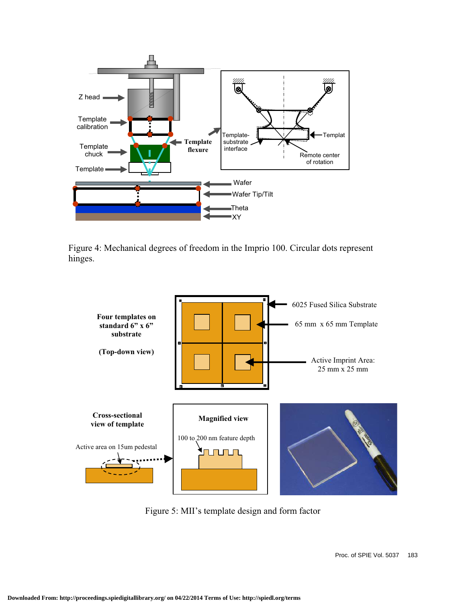

Figure 4: Mechanical degrees of freedom in the Imprio 100. Circular dots represent hinges.



Figure 5: MII's template design and form factor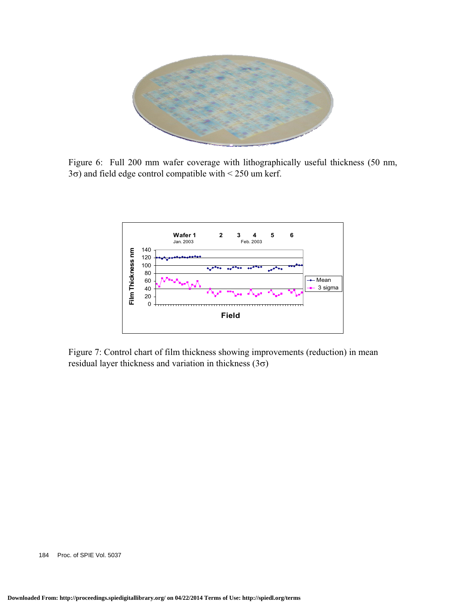

Figure 6: Full 200 mm wafer coverage with lithographically useful thickness (50 nm,  $3\sigma$ ) and field edge control compatible with < 250 um kerf.



Figure 7: Control chart of film thickness showing improvements (reduction) in mean residual layer thickness and variation in thickness  $(3\sigma)$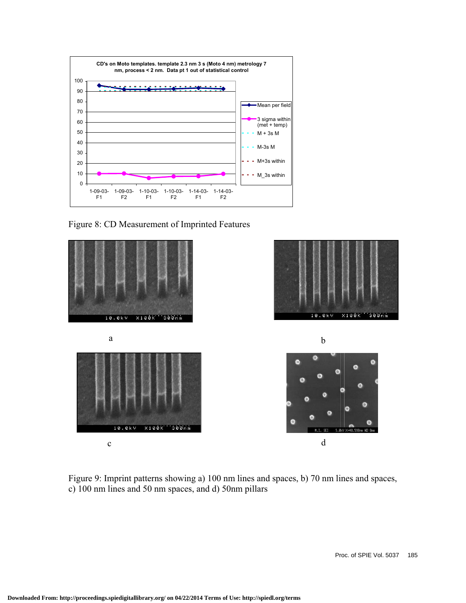

Figure 8: CD Measurement of Imprinted Features



Figure 9: Imprint patterns showing a) 100 nm lines and spaces, b) 70 nm lines and spaces, c) 100 nm lines and 50 nm spaces, and d) 50nm pillars